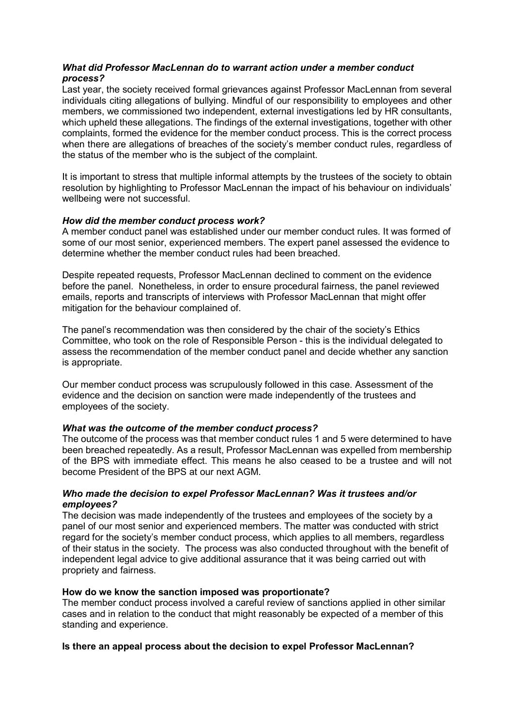# What did Professor MacLennan do to warrant action under a member conduct process?

Last year, the society received formal grievances against Professor MacLennan from several individuals citing allegations of bullying. Mindful of our responsibility to employees and other members, we commissioned two independent, external investigations led by HR consultants, which upheld these allegations. The findings of the external investigations, together with other complaints, formed the evidence for the member conduct process. This is the correct process when there are allegations of breaches of the society's member conduct rules, regardless of the status of the member who is the subject of the complaint.

It is important to stress that multiple informal attempts by the trustees of the society to obtain resolution by highlighting to Professor MacLennan the impact of his behaviour on individuals' wellbeing were not successful.

## How did the member conduct process work?

A member conduct panel was established under our member conduct rules. It was formed of some of our most senior, experienced members. The expert panel assessed the evidence to determine whether the member conduct rules had been breached.

Despite repeated requests, Professor MacLennan declined to comment on the evidence before the panel. Nonetheless, in order to ensure procedural fairness, the panel reviewed emails, reports and transcripts of interviews with Professor MacLennan that might offer mitigation for the behaviour complained of.

The panel's recommendation was then considered by the chair of the society's Ethics Committee, who took on the role of Responsible Person - this is the individual delegated to assess the recommendation of the member conduct panel and decide whether any sanction is appropriate.

Our member conduct process was scrupulously followed in this case. Assessment of the evidence and the decision on sanction were made independently of the trustees and employees of the society.

#### What was the outcome of the member conduct process?

The outcome of the process was that member conduct rules 1 and 5 were determined to have been breached repeatedly. As a result, Professor MacLennan was expelled from membership of the BPS with immediate effect. This means he also ceased to be a trustee and will not become President of the BPS at our next AGM.

## Who made the decision to expel Professor MacLennan? Was it trustees and/or employees?

The decision was made independently of the trustees and employees of the society by a panel of our most senior and experienced members. The matter was conducted with strict regard for the society's member conduct process, which applies to all members, regardless of their status in the society. The process was also conducted throughout with the benefit of independent legal advice to give additional assurance that it was being carried out with propriety and fairness.

#### How do we know the sanction imposed was proportionate?

The member conduct process involved a careful review of sanctions applied in other similar cases and in relation to the conduct that might reasonably be expected of a member of this standing and experience.

# Is there an appeal process about the decision to expel Professor MacLennan?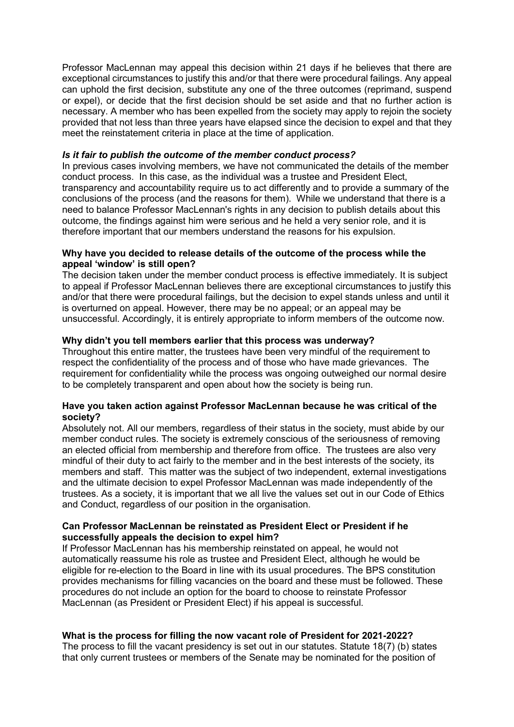Professor MacLennan may appeal this decision within 21 days if he believes that there are exceptional circumstances to justify this and/or that there were procedural failings. Any appeal can uphold the first decision, substitute any one of the three outcomes (reprimand, suspend or expel), or decide that the first decision should be set aside and that no further action is necessary. A member who has been expelled from the society may apply to rejoin the society provided that not less than three years have elapsed since the decision to expel and that they meet the reinstatement criteria in place at the time of application.

#### Is it fair to publish the outcome of the member conduct process?

In previous cases involving members, we have not communicated the details of the member conduct process. In this case, as the individual was a trustee and President Elect, transparency and accountability require us to act differently and to provide a summary of the conclusions of the process (and the reasons for them). While we understand that there is a need to balance Professor MacLennan's rights in any decision to publish details about this outcome, the findings against him were serious and he held a very senior role, and it is therefore important that our members understand the reasons for his expulsion.

## Why have you decided to release details of the outcome of the process while the appeal 'window' is still open?

The decision taken under the member conduct process is effective immediately. It is subject to appeal if Professor MacLennan believes there are exceptional circumstances to justify this and/or that there were procedural failings, but the decision to expel stands unless and until it is overturned on appeal. However, there may be no appeal; or an appeal may be unsuccessful. Accordingly, it is entirely appropriate to inform members of the outcome now.

## Why didn't you tell members earlier that this process was underway?

Throughout this entire matter, the trustees have been very mindful of the requirement to respect the confidentiality of the process and of those who have made grievances. The requirement for confidentiality while the process was ongoing outweighed our normal desire to be completely transparent and open about how the society is being run.

#### Have you taken action against Professor MacLennan because he was critical of the society?

Absolutely not. All our members, regardless of their status in the society, must abide by our member conduct rules. The society is extremely conscious of the seriousness of removing an elected official from membership and therefore from office. The trustees are also very mindful of their duty to act fairly to the member and in the best interests of the society, its members and staff. This matter was the subject of two independent, external investigations and the ultimate decision to expel Professor MacLennan was made independently of the trustees. As a society, it is important that we all live the values set out in our Code of Ethics and Conduct, regardless of our position in the organisation.

## Can Professor MacLennan be reinstated as President Elect or President if he successfully appeals the decision to expel him?

If Professor MacLennan has his membership reinstated on appeal, he would not automatically reassume his role as trustee and President Elect, although he would be eligible for re-election to the Board in line with its usual procedures. The BPS constitution provides mechanisms for filling vacancies on the board and these must be followed. These procedures do not include an option for the board to choose to reinstate Professor MacLennan (as President or President Elect) if his appeal is successful.

#### What is the process for filling the now vacant role of President for 2021-2022?

The process to fill the vacant presidency is set out in our statutes. Statute 18(7) (b) states that only current trustees or members of the Senate may be nominated for the position of